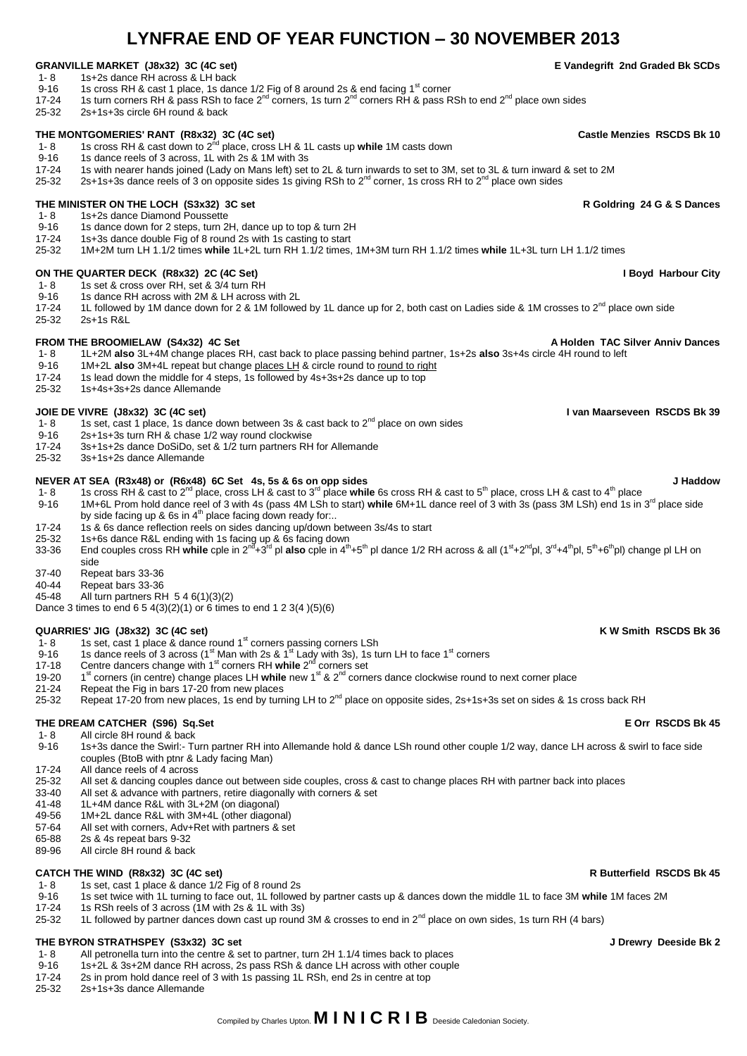## Compiled by Charles Upton. **M I N I C R I B** Deeside Caledonian Society.

# **LYNFRAE END OF YEAR FUNCTION – 30 NOVEMBER 2013**

## **GRANVILLE MARKET (J8x32) 3C (4C set)**  $1-8$  **E Vandegrift 2nd Graded Bk SCDs**<br>1-8 1s+2s dance RH across & LH back

- 1- 8 1s+2s dance RH across & LH back<br>9-16 1s cross RH & cast 1 place, 1s dang
- 9-16 1s cross RH & cast 1 place, 1s dance 1/2 Fig of 8 around 2s & end facing 1<sup>st</sup> corner<br>17-24 1s turn corners RH & pass RSh to face 2<sup>nd</sup> corners. 1s turn 2<sup>nd</sup> corners RH & pass R 17-24 1s turn corners RH & pass RSh to face  $2^{nd}$  corners, 1s turn  $2^{nd}$  corners RH & pass RSh to end  $2^{nd}$  place own sides <br>25-32 2s+1s+3s circle 6H round & back
- 25-32 2s+1s+3s circle 6H round & back

# **THE MONTGOMERIES' RANT (R8x32) 3C (4C set) Castle Menzies RSCDS Bk 10**<br>1- 8 1s cross RH & cast down to 2<sup>nd</sup> place, cross LH & 1L casts up **while** 1M casts down

- 9-16 1s dance reels of 3 across, 1L with 2s & 1M with 3s 17-24 1s with nearer hands joined (Lady on Mans left) set
- 17-24 1s with nearer hands joined (Lady on Mans left) set to 2L & turn inwards to set to 3M, set to 3L & turn inward & set to 2M<br>25-32 25+1s+3s dance reels of 3 on opposite sides 1s giving RSh to 2<sup>nd</sup> corner. 1s cross RH
- 2s+1s+3s dance reels of 3 on opposite sides 1s giving RSh to  $2^{nd}$  corner, 1s cross RH to  $2^{nd}$  place own sides

## **THE MINISTER ON THE LOCH (S3x32) 3C set Research 2018 12 and 24 G & S Dances R Goldring 24 G & S Dances R Goldring 24 G & S Dances**

1- 8 1s+2s dance Diamond Poussette<br>9-16 1s dance down for 2 steps. turn 2

- 9-16 1s dance down for 2 steps, turn 2H, dance up to top & turn 2H<br>17-24 1s+3s dance double Fig of 8 round 2s with 1s casting to start
- 17-24 1s+3s dance double Fig of 8 round 2s with 1s casting to start 25-32 1M+2M turn LH 1.1/2 timess
- 25-32 1M+2M turn LH 1.1/2 times **while** 1L+2L turn RH 1.1/2 times, 1M+3M turn RH 1.1/2 times **while** 1L+3L turn LH 1.1/2 times

## **ON THE QUARTER DECK (R8x32) 2C (4C Set) I Boyd Harbour City I Boyd Harbour City I Boyd Harbour City I Boyd Harbour City**

- 1- 8 1s set & cross over RH, set & 3/4 turn RH<br>9-16 1s dance RH across with 2M & LH across
- 9-16 1s dance RH across with 2M & LH across with 2L<br>17-24 1L followed by 1M dance down for 2 & 1M followe
- 17-24 1L followed by 1M dance down for 2 & 1M followed by 1L dance up for 2, both cast on Ladies side & 1M crosses to 2<sup>nd</sup> place own side<br>25-32 2s+1s R&L 2s+1s R&L

- **FROM THE BROOMIELAW (S4x32) 4C Set A Holden TAC Silver Anniv Dances**<br>1-8 11+2M also 3L+4M change places RH cast back to place passing behind partner. 1s+2s also 3s+4s circle 4H round to left 1- 8 1L+2M **also** 3L+4M change places RH, cast back to place passing behind partner, 1s+2s **also** 3s+4s circle 4H round to left
- 9-16 1M+2L **also** 3M+4L repeat but change places LH & circle round to round to right 17-24 1s lead down the middle for 4 steps, 1s followed by 4s+3s+2s dance up to top
- 17-24 1s lead down the middle for 4 steps, 1s followed by 4s+3s+2s dance up to top
- 25-32 1s+4s+3s+2s dance Allemande

- **JOIE DE VIVRE (J8x32) 3C (4C set) I van Maarseveen RSCDS Bk 39**<br>1-8 1s set cast 1 place, 1s dance down between 3s & cast back to 2<sup>nd</sup> place on own sides 1- 8 1s set, cast 1 place, 1s dance down between 3s & cast back to  $2^{nd}$  place on own sides<br>9-16 2s+1s+3s turn RH & chase 1/2 way round clockwise
- 9-16 2s+1s+3s turn RH & chase 1/2 way round clockwise<br>17-24 3s+1s+2s dance DoSiDo, set & 1/2 turn partners RH
- 17-24 3s+1s+2s dance DoSiDo, set & 1/2 turn partners RH for Allemande
- 25-32 3s+1s+2s dance Allemande

- **NEVER AT SEA (R3x48) or (R6x48) 6C Set 4s, 5s & 6s on opp sides NEVER AT SEA (R3x48) or (R6x48) 6C Set 4s, 5s & 6s on opp sides Strips and Beat to 5<sup>th</sup> place, cross LH & cast to 4<sup>th</sup> place <b>J Haddow** 1- 8 **15 and** 1- 8 1s cross RH & cast to 2<sup>nd</sup> place, cross LH & cast to 3<sup>rd</sup> place while 6s cross RH & cast to 5<sup>th</sup> place, cross LH & cast to 4<sup>th</sup> place 9-16 1M+6L Prom hold dance reel of 3 with 4s (pass 4M LSh to start) while 6M+1L dance reel of 3 with 3s (pass 3M LSh) end 1s in 3<sup>rd</sup> place side by side facing up & 6s in 4<sup>th</sup> place facing down ready for...
- 17-24 1s & 6s dance reflection reels on sides dancing up/down between 3s/4s to start 25-32 1s+6s dance R&L ending with 1s facing up & 6s facing down
- 

25-32 1s+6s dance R&L ending with 1s facing up & 6s facing down<br>33-36 End couples cross RH **while** cple in 2<sup>nd</sup>+3<sup>rd</sup> pl **also** cple in 4<sup>th</sup>+5<sup>th</sup> pl dance 1/2 RH across & all (1<sup>st</sup>+2<sup>nd</sup>pl, 3<sup>rd</sup>+4<sup>th</sup>pl, 5<sup>th</sup>+6<sup>th</sup> side

- 37-40 Repeat bars 33-36
- 40-44 Repeat bars 33-36<br>45-48 All turn partners RH

All turn partners RH  $546(1)(3)(2)$ Dance 3 times to end 6 5 4(3)(2)(1) or 6 times to end 1 2 3(4 )(5)(6)

- QUARRIES' JIG (J8x32) 3C (4C set)<br>1- 8 1s set, cast 1 place & dance round 1<sup>st</sup> corners passing corners LSh **the corners of the corner of the corner**
- 9-16 1s dance reels of 3 across (1<sup>st</sup> Man with 2s & 1<sup>st</sup> Lady with 3s), 1s turn LH to face 1<sup>st</sup> corners
- 17-18 Centre dancers change with 1<sup>st</sup> corners RH while 2<sup>nd</sup> corners set
- 19-20 1<sup>st</sup> corners (in centre) change places LH while new 1<sup>st</sup> & 2<sup>nd</sup> corners dance clockwise round to next corner place
- 21-24 Repeat the Fig in bars 17-20 from new places
- 25-32 Repeat 17-20 from new places, 1s end by turning LH to 2<sup>nd</sup> place on opposite sides, 2s+1s+3s set on sides & 1s cross back RH

# **THE DREAM CATCHER (S96) Sq.Set Exercise Additional Structure of the Structure of the Structure of the Structure of the Structure of the Structure of the Structure of the Structure of the Structure of the Structure of th**

1- 8 All circle 8H round & back<br>9-16 1s+3s dance the Swirl:- Tu 9-16 1s+3s dance the Swirl:- Turn partner RH into Allemande hold & dance LSh round other couple 1/2 way, dance LH across & swirl to face side couples (BtoB with ptnr & Lady facing Man)

- 17-24 All dance reels of 4 across
- 25-32 All set & dancing couples dance out between side couples, cross & cast to change places RH with partner back into places 33-40 All set & advance with partner with partner with partner with partners, retire diagonally
- 33-40 All set & advance with partners, retire diagonally with corners & set 41-48 11+4M dance R&I with 3I +2M (on diagonal)
- 
- 41-48 1L+4M dance R&L with 3L+2M (on diagonal)<br>49-56 1M+2L dance R&L with 3M+4L (other diagon 1M+2L dance R&L with 3M+4L (other diagonal)
- 
- 57-64 All set with corners, Adv+Ret with partners & set 65-88 2s & 4s repeat bars 9-32 2s & 4s repeat bars 9-32
- 89-96 All circle 8H round & back

## **CATCH THE WIND (R8x32) 3C (4C set) R Butterfield RSCDS Bk 45**

- 1- 8 1s set, cast 1 place & dance 1/2 Fig of 8 round 2s<br>9-16 1s set twice with 11 turning to face out. 11 follower
- 9-16 1s set twice with 1L turning to face out, 1L followed by partner casts up & dances down the middle 1L to face 3M **while** 1M faces 2M
- 17-24 1s RSh reels of 3 across (1M with 2s & 1L with 3s)
- 25-32 1L followed by partner dances down cast up round 3M & crosses to end in  $2^{nd}$  place on own sides, 1s turn RH (4 bars)

- **THE BYRON STRATHSPEY (S3x32) 3C set J Drewry Deeside Bk 2** All petronella turn into the centre & set to partner, turn 2H 1.1/4 times back to places
- 9-16 1s+2L & 3s+2M dance RH across, 2s pass RSh & dance LH across with other couple
- 17-24 2s in prom hold dance reel of 3 with 1s passing 1L RSh, end 2s in centre at top<br>25-32 2s+1s+3s dance Allemande
- 25-32 2s+1s+3s dance Allemande